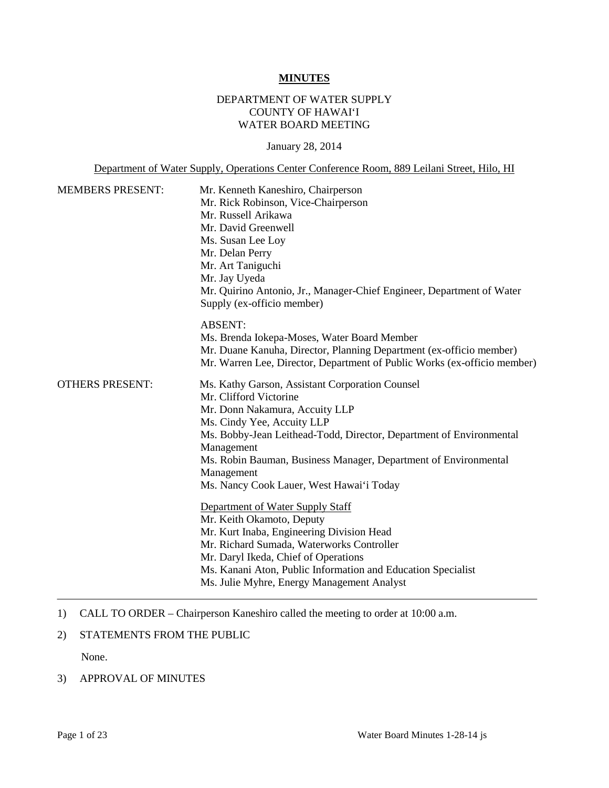#### **MINUTES**

# DEPARTMENT OF WATER SUPPLY COUNTY OF HAWAI'I WATER BOARD MEETING

January 28, 2014

Department of Water Supply, Operations Center Conference Room, 889 Leilani Street, Hilo, HI

| <b>MEMBERS PRESENT:</b> | Mr. Kenneth Kaneshiro, Chairperson                                       |  |  |
|-------------------------|--------------------------------------------------------------------------|--|--|
|                         | Mr. Rick Robinson, Vice-Chairperson                                      |  |  |
|                         | Mr. Russell Arikawa                                                      |  |  |
|                         | Mr. David Greenwell                                                      |  |  |
|                         | Ms. Susan Lee Loy                                                        |  |  |
|                         | Mr. Delan Perry                                                          |  |  |
|                         | Mr. Art Taniguchi                                                        |  |  |
|                         | Mr. Jay Uyeda                                                            |  |  |
|                         | Mr. Quirino Antonio, Jr., Manager-Chief Engineer, Department of Water    |  |  |
|                         | Supply (ex-officio member)                                               |  |  |
|                         | <b>ABSENT:</b>                                                           |  |  |
|                         | Ms. Brenda Iokepa-Moses, Water Board Member                              |  |  |
|                         | Mr. Duane Kanuha, Director, Planning Department (ex-officio member)      |  |  |
|                         | Mr. Warren Lee, Director, Department of Public Works (ex-officio member) |  |  |
| <b>OTHERS PRESENT:</b>  | Ms. Kathy Garson, Assistant Corporation Counsel                          |  |  |
|                         | Mr. Clifford Victorine                                                   |  |  |
|                         | Mr. Donn Nakamura, Accuity LLP                                           |  |  |
|                         | Ms. Cindy Yee, Accuity LLP                                               |  |  |
|                         | Ms. Bobby-Jean Leithead-Todd, Director, Department of Environmental      |  |  |
|                         | Management                                                               |  |  |
|                         | Ms. Robin Bauman, Business Manager, Department of Environmental          |  |  |
|                         | Management                                                               |  |  |
|                         | Ms. Nancy Cook Lauer, West Hawai'i Today                                 |  |  |
|                         | Department of Water Supply Staff                                         |  |  |
|                         | Mr. Keith Okamoto, Deputy                                                |  |  |
|                         | Mr. Kurt Inaba, Engineering Division Head                                |  |  |
|                         | Mr. Richard Sumada, Waterworks Controller                                |  |  |
|                         | Mr. Daryl Ikeda, Chief of Operations                                     |  |  |
|                         | Ms. Kanani Aton, Public Information and Education Specialist             |  |  |
|                         | Ms. Julie Myhre, Energy Management Analyst                               |  |  |

- 1) CALL TO ORDER Chairperson Kaneshiro called the meeting to order at 10:00 a.m.
- 2) STATEMENTS FROM THE PUBLIC

None.

### 3) APPROVAL OF MINUTES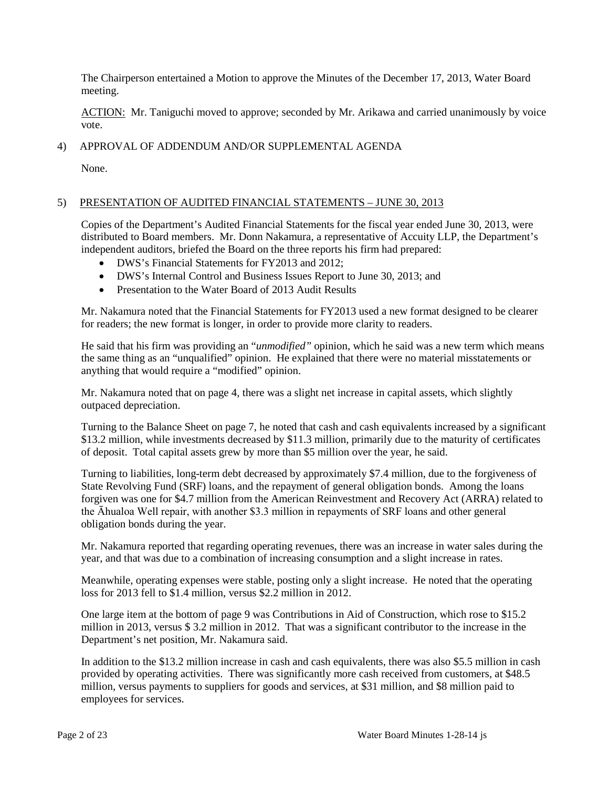The Chairperson entertained a Motion to approve the Minutes of the December 17, 2013, Water Board meeting.

ACTION: Mr. Taniguchi moved to approve; seconded by Mr. Arikawa and carried unanimously by voice vote.

# 4) APPROVAL OF ADDENDUM AND/OR SUPPLEMENTAL AGENDA

None.

# 5) PRESENTATION OF AUDITED FINANCIAL STATEMENTS – JUNE 30, 2013

Copies of the Department's Audited Financial Statements for the fiscal year ended June 30, 2013, were distributed to Board members. Mr. Donn Nakamura, a representative of Accuity LLP, the Department's independent auditors, briefed the Board on the three reports his firm had prepared:

- DWS's Financial Statements for FY2013 and 2012;
- DWS's Internal Control and Business Issues Report to June 30, 2013; and
- Presentation to the Water Board of 2013 Audit Results

Mr. Nakamura noted that the Financial Statements for FY2013 used a new format designed to be clearer for readers; the new format is longer, in order to provide more clarity to readers.

He said that his firm was providing an "*unmodified"* opinion, which he said was a new term which means the same thing as an "unqualified" opinion. He explained that there were no material misstatements or anything that would require a "modified" opinion.

Mr. Nakamura noted that on page 4, there was a slight net increase in capital assets, which slightly outpaced depreciation.

Turning to the Balance Sheet on page 7, he noted that cash and cash equivalents increased by a significant \$13.2 million, while investments decreased by \$11.3 million, primarily due to the maturity of certificates of deposit. Total capital assets grew by more than \$5 million over the year, he said.

Turning to liabilities, long-term debt decreased by approximately \$7.4 million, due to the forgiveness of State Revolving Fund (SRF) loans, and the repayment of general obligation bonds. Among the loans forgiven was one for \$4.7 million from the American Reinvestment and Recovery Act (ARRA) related to the Āhualoa Well repair, with another \$3.3 million in repayments of SRF loans and other general obligation bonds during the year.

Mr. Nakamura reported that regarding operating revenues, there was an increase in water sales during the year, and that was due to a combination of increasing consumption and a slight increase in rates.

Meanwhile, operating expenses were stable, posting only a slight increase. He noted that the operating loss for 2013 fell to \$1.4 million, versus \$2.2 million in 2012.

One large item at the bottom of page 9 was Contributions in Aid of Construction, which rose to \$15.2 million in 2013, versus \$ 3.2 million in 2012. That was a significant contributor to the increase in the Department's net position, Mr. Nakamura said.

In addition to the \$13.2 million increase in cash and cash equivalents, there was also \$5.5 million in cash provided by operating activities. There was significantly more cash received from customers, at \$48.5 million, versus payments to suppliers for goods and services, at \$31 million, and \$8 million paid to employees for services.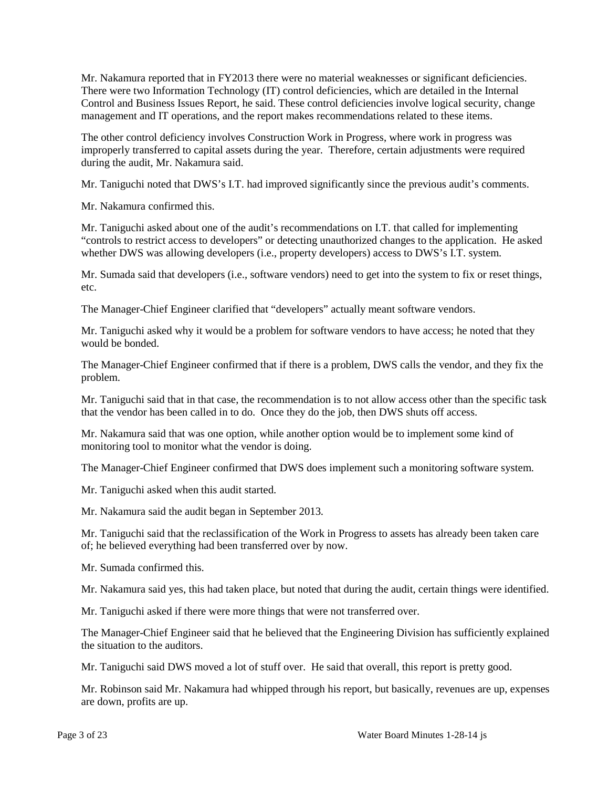Mr. Nakamura reported that in FY2013 there were no material weaknesses or significant deficiencies. There were two Information Technology (IT) control deficiencies, which are detailed in the Internal Control and Business Issues Report, he said. These control deficiencies involve logical security, change management and IT operations, and the report makes recommendations related to these items.

The other control deficiency involves Construction Work in Progress, where work in progress was improperly transferred to capital assets during the year. Therefore, certain adjustments were required during the audit, Mr. Nakamura said.

Mr. Taniguchi noted that DWS's I.T. had improved significantly since the previous audit's comments.

Mr. Nakamura confirmed this.

Mr. Taniguchi asked about one of the audit's recommendations on I.T. that called for implementing "controls to restrict access to developers" or detecting unauthorized changes to the application. He asked whether DWS was allowing developers (i.e., property developers) access to DWS's I.T. system.

Mr. Sumada said that developers (i.e., software vendors) need to get into the system to fix or reset things, etc.

The Manager-Chief Engineer clarified that "developers" actually meant software vendors.

Mr. Taniguchi asked why it would be a problem for software vendors to have access; he noted that they would be bonded.

The Manager-Chief Engineer confirmed that if there is a problem, DWS calls the vendor, and they fix the problem.

Mr. Taniguchi said that in that case, the recommendation is to not allow access other than the specific task that the vendor has been called in to do. Once they do the job, then DWS shuts off access.

Mr. Nakamura said that was one option, while another option would be to implement some kind of monitoring tool to monitor what the vendor is doing.

The Manager-Chief Engineer confirmed that DWS does implement such a monitoring software system.

Mr. Taniguchi asked when this audit started.

Mr. Nakamura said the audit began in September 2013.

Mr. Taniguchi said that the reclassification of the Work in Progress to assets has already been taken care of; he believed everything had been transferred over by now.

Mr. Sumada confirmed this.

Mr. Nakamura said yes, this had taken place, but noted that during the audit, certain things were identified.

Mr. Taniguchi asked if there were more things that were not transferred over.

The Manager-Chief Engineer said that he believed that the Engineering Division has sufficiently explained the situation to the auditors.

Mr. Taniguchi said DWS moved a lot of stuff over. He said that overall, this report is pretty good.

Mr. Robinson said Mr. Nakamura had whipped through his report, but basically, revenues are up, expenses are down, profits are up.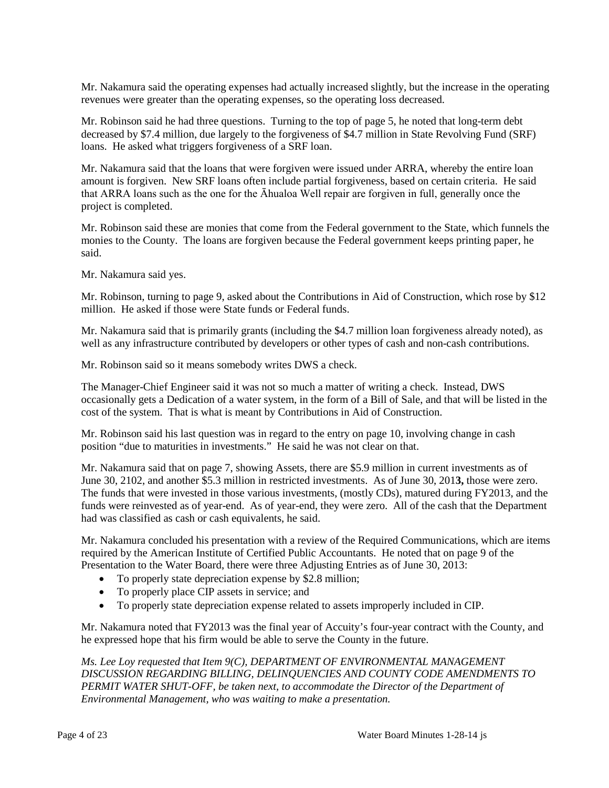Mr. Nakamura said the operating expenses had actually increased slightly, but the increase in the operating revenues were greater than the operating expenses, so the operating loss decreased.

Mr. Robinson said he had three questions. Turning to the top of page 5, he noted that long-term debt decreased by \$7.4 million, due largely to the forgiveness of \$4.7 million in State Revolving Fund (SRF) loans. He asked what triggers forgiveness of a SRF loan.

Mr. Nakamura said that the loans that were forgiven were issued under ARRA, whereby the entire loan amount is forgiven. New SRF loans often include partial forgiveness, based on certain criteria. He said that ARRA loans such as the one for the Āhualoa Well repair are forgiven in full, generally once the project is completed.

Mr. Robinson said these are monies that come from the Federal government to the State, which funnels the monies to the County. The loans are forgiven because the Federal government keeps printing paper, he said.

Mr. Nakamura said yes.

Mr. Robinson, turning to page 9, asked about the Contributions in Aid of Construction, which rose by \$12 million. He asked if those were State funds or Federal funds.

Mr. Nakamura said that is primarily grants (including the \$4.7 million loan forgiveness already noted), as well as any infrastructure contributed by developers or other types of cash and non-cash contributions.

Mr. Robinson said so it means somebody writes DWS a check.

The Manager-Chief Engineer said it was not so much a matter of writing a check. Instead, DWS occasionally gets a Dedication of a water system, in the form of a Bill of Sale, and that will be listed in the cost of the system. That is what is meant by Contributions in Aid of Construction.

Mr. Robinson said his last question was in regard to the entry on page 10, involving change in cash position "due to maturities in investments." He said he was not clear on that.

Mr. Nakamura said that on page 7, showing Assets, there are \$5.9 million in current investments as of June 30, 2102, and another \$5.3 million in restricted investments. As of June 30, 201**3,** those were zero. The funds that were invested in those various investments, (mostly CDs), matured during FY2013, and the funds were reinvested as of year-end. As of year-end, they were zero. All of the cash that the Department had was classified as cash or cash equivalents, he said.

Mr. Nakamura concluded his presentation with a review of the Required Communications, which are items required by the American Institute of Certified Public Accountants. He noted that on page 9 of the Presentation to the Water Board, there were three Adjusting Entries as of June 30, 2013:

- To properly state depreciation expense by \$2.8 million;
- To properly place CIP assets in service; and
- To properly state depreciation expense related to assets improperly included in CIP.

Mr. Nakamura noted that FY2013 was the final year of Accuity's four-year contract with the County, and he expressed hope that his firm would be able to serve the County in the future.

*Ms. Lee Loy requested that Item 9(C), DEPARTMENT OF ENVIRONMENTAL MANAGEMENT DISCUSSION REGARDING BILLING, DELINQUENCIES AND COUNTY CODE AMENDMENTS TO PERMIT WATER SHUT-OFF, be taken next, to accommodate the Director of the Department of Environmental Management, who was waiting to make a presentation.*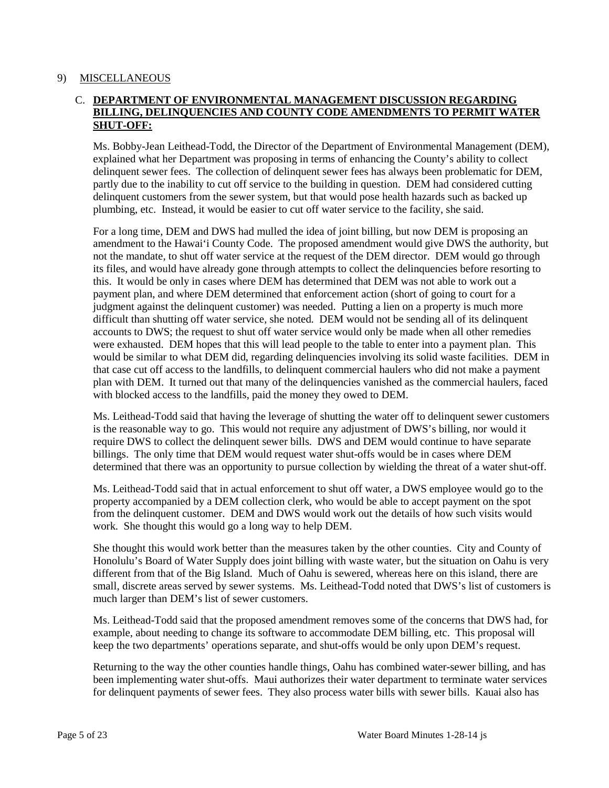#### 9) MISCELLANEOUS

## C. **DEPARTMENT OF ENVIRONMENTAL MANAGEMENT DISCUSSION REGARDING BILLING, DELINQUENCIES AND COUNTY CODE AMENDMENTS TO PERMIT WATER SHUT-OFF:**

Ms. Bobby-Jean Leithead-Todd, the Director of the Department of Environmental Management (DEM), explained what her Department was proposing in terms of enhancing the County's ability to collect delinquent sewer fees. The collection of delinquent sewer fees has always been problematic for DEM, partly due to the inability to cut off service to the building in question. DEM had considered cutting delinquent customers from the sewer system, but that would pose health hazards such as backed up plumbing, etc. Instead, it would be easier to cut off water service to the facility, she said.

For a long time, DEM and DWS had mulled the idea of joint billing, but now DEM is proposing an amendment to the Hawai'i County Code. The proposed amendment would give DWS the authority, but not the mandate, to shut off water service at the request of the DEM director. DEM would go through its files, and would have already gone through attempts to collect the delinquencies before resorting to this. It would be only in cases where DEM has determined that DEM was not able to work out a payment plan, and where DEM determined that enforcement action (short of going to court for a judgment against the delinquent customer) was needed. Putting a lien on a property is much more difficult than shutting off water service, she noted. DEM would not be sending all of its delinquent accounts to DWS; the request to shut off water service would only be made when all other remedies were exhausted. DEM hopes that this will lead people to the table to enter into a payment plan. This would be similar to what DEM did, regarding delinquencies involving its solid waste facilities. DEM in that case cut off access to the landfills, to delinquent commercial haulers who did not make a payment plan with DEM. It turned out that many of the delinquencies vanished as the commercial haulers, faced with blocked access to the landfills, paid the money they owed to DEM.

Ms. Leithead-Todd said that having the leverage of shutting the water off to delinquent sewer customers is the reasonable way to go. This would not require any adjustment of DWS's billing, nor would it require DWS to collect the delinquent sewer bills. DWS and DEM would continue to have separate billings. The only time that DEM would request water shut-offs would be in cases where DEM determined that there was an opportunity to pursue collection by wielding the threat of a water shut-off.

Ms. Leithead-Todd said that in actual enforcement to shut off water, a DWS employee would go to the property accompanied by a DEM collection clerk, who would be able to accept payment on the spot from the delinquent customer. DEM and DWS would work out the details of how such visits would work. She thought this would go a long way to help DEM.

She thought this would work better than the measures taken by the other counties. City and County of Honolulu's Board of Water Supply does joint billing with waste water, but the situation on Oahu is very different from that of the Big Island. Much of Oahu is sewered, whereas here on this island, there are small, discrete areas served by sewer systems. Ms. Leithead-Todd noted that DWS's list of customers is much larger than DEM's list of sewer customers.

Ms. Leithead-Todd said that the proposed amendment removes some of the concerns that DWS had, for example, about needing to change its software to accommodate DEM billing, etc. This proposal will keep the two departments' operations separate, and shut-offs would be only upon DEM's request.

Returning to the way the other counties handle things, Oahu has combined water-sewer billing, and has been implementing water shut-offs. Maui authorizes their water department to terminate water services for delinquent payments of sewer fees. They also process water bills with sewer bills. Kauai also has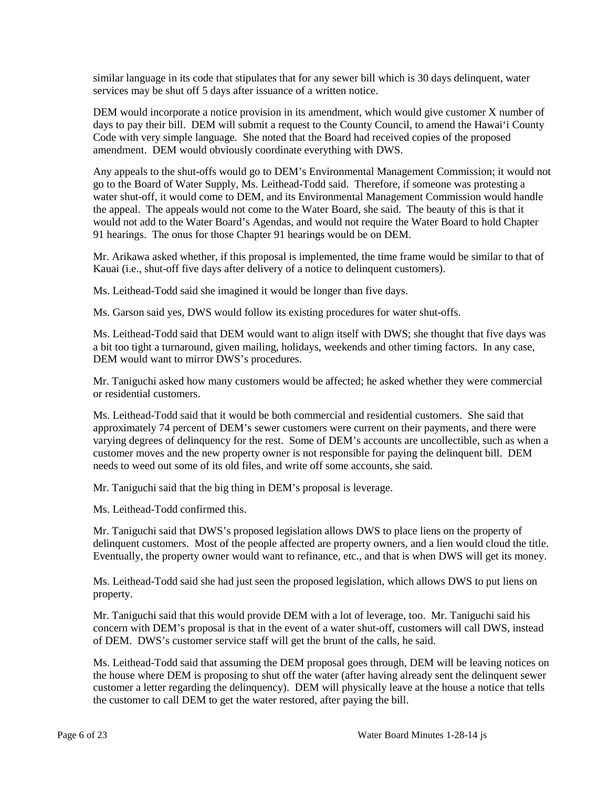similar language in its code that stipulates that for any sewer bill which is 30 days delinquent, water services may be shut off 5 days after issuance of a written notice.

DEM would incorporate a notice provision in its amendment, which would give customer X number of days to pay their bill. DEM will submit a request to the County Council, to amend the Hawai'i County Code with very simple language. She noted that the Board had received copies of the proposed amendment. DEM would obviously coordinate everything with DWS.

Any appeals to the shut-offs would go to DEM's Environmental Management Commission; it would not go to the Board of Water Supply, Ms. Leithead-Todd said. Therefore, if someone was protesting a water shut-off, it would come to DEM, and its Environmental Management Commission would handle the appeal. The appeals would not come to the Water Board, she said. The beauty of this is that it would not add to the Water Board's Agendas, and would not require the Water Board to hold Chapter 91 hearings. The onus for those Chapter 91 hearings would be on DEM.

Mr. Arikawa asked whether, if this proposal is implemented, the time frame would be similar to that of Kauai (i.e., shut-off five days after delivery of a notice to delinquent customers).

Ms. Leithead-Todd said she imagined it would be longer than five days.

Ms. Garson said yes, DWS would follow its existing procedures for water shut-offs.

Ms. Leithead-Todd said that DEM would want to align itself with DWS; she thought that five days was a bit too tight a turnaround, given mailing, holidays, weekends and other timing factors. In any case, DEM would want to mirror DWS's procedures.

Mr. Taniguchi asked how many customers would be affected; he asked whether they were commercial or residential customers.

Ms. Leithead-Todd said that it would be both commercial and residential customers. She said that approximately 74 percent of DEM's sewer customers were current on their payments, and there were varying degrees of delinquency for the rest. Some of DEM's accounts are uncollectible, such as when a customer moves and the new property owner is not responsible for paying the delinquent bill. DEM needs to weed out some of its old files, and write off some accounts, she said.

Mr. Taniguchi said that the big thing in DEM's proposal is leverage.

Ms. Leithead-Todd confirmed this.

Mr. Taniguchi said that DWS's proposed legislation allows DWS to place liens on the property of delinquent customers. Most of the people affected are property owners, and a lien would cloud the title. Eventually, the property owner would want to refinance, etc., and that is when DWS will get its money.

Ms. Leithead-Todd said she had just seen the proposed legislation, which allows DWS to put liens on property.

Mr. Taniguchi said that this would provide DEM with a lot of leverage, too. Mr. Taniguchi said his concern with DEM's proposal is that in the event of a water shut-off, customers will call DWS, instead of DEM. DWS's customer service staff will get the brunt of the calls, he said.

Ms. Leithead-Todd said that assuming the DEM proposal goes through, DEM will be leaving notices on the house where DEM is proposing to shut off the water (after having already sent the delinquent sewer customer a letter regarding the delinquency). DEM will physically leave at the house a notice that tells the customer to call DEM to get the water restored, after paying the bill.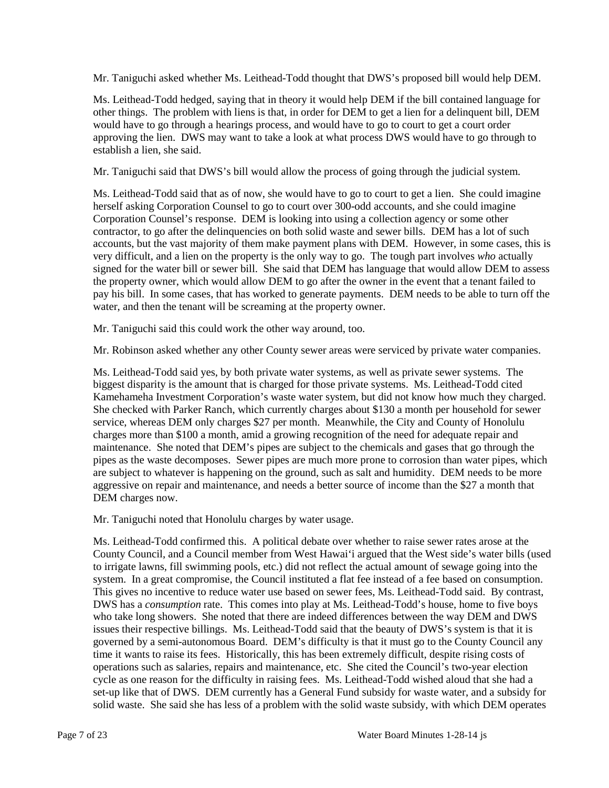Mr. Taniguchi asked whether Ms. Leithead-Todd thought that DWS's proposed bill would help DEM.

Ms. Leithead-Todd hedged, saying that in theory it would help DEM if the bill contained language for other things. The problem with liens is that, in order for DEM to get a lien for a delinquent bill, DEM would have to go through a hearings process, and would have to go to court to get a court order approving the lien. DWS may want to take a look at what process DWS would have to go through to establish a lien, she said.

Mr. Taniguchi said that DWS's bill would allow the process of going through the judicial system.

Ms. Leithead-Todd said that as of now, she would have to go to court to get a lien. She could imagine herself asking Corporation Counsel to go to court over 300-odd accounts, and she could imagine Corporation Counsel's response. DEM is looking into using a collection agency or some other contractor, to go after the delinquencies on both solid waste and sewer bills. DEM has a lot of such accounts, but the vast majority of them make payment plans with DEM. However, in some cases, this is very difficult, and a lien on the property is the only way to go. The tough part involves *who* actually signed for the water bill or sewer bill. She said that DEM has language that would allow DEM to assess the property owner, which would allow DEM to go after the owner in the event that a tenant failed to pay his bill. In some cases, that has worked to generate payments. DEM needs to be able to turn off the water, and then the tenant will be screaming at the property owner.

Mr. Taniguchi said this could work the other way around, too.

Mr. Robinson asked whether any other County sewer areas were serviced by private water companies.

Ms. Leithead-Todd said yes, by both private water systems, as well as private sewer systems. The biggest disparity is the amount that is charged for those private systems. Ms. Leithead-Todd cited Kamehameha Investment Corporation's waste water system, but did not know how much they charged. She checked with Parker Ranch, which currently charges about \$130 a month per household for sewer service, whereas DEM only charges \$27 per month. Meanwhile, the City and County of Honolulu charges more than \$100 a month, amid a growing recognition of the need for adequate repair and maintenance. She noted that DEM's pipes are subject to the chemicals and gases that go through the pipes as the waste decomposes. Sewer pipes are much more prone to corrosion than water pipes, which are subject to whatever is happening on the ground, such as salt and humidity. DEM needs to be more aggressive on repair and maintenance, and needs a better source of income than the \$27 a month that DEM charges now.

Mr. Taniguchi noted that Honolulu charges by water usage.

Ms. Leithead-Todd confirmed this. A political debate over whether to raise sewer rates arose at the County Council, and a Council member from West Hawai'i argued that the West side's water bills (used to irrigate lawns, fill swimming pools, etc.) did not reflect the actual amount of sewage going into the system. In a great compromise, the Council instituted a flat fee instead of a fee based on consumption. This gives no incentive to reduce water use based on sewer fees, Ms. Leithead-Todd said. By contrast, DWS has a *consumption* rate. This comes into play at Ms. Leithead-Todd's house, home to five boys who take long showers. She noted that there are indeed differences between the way DEM and DWS issues their respective billings. Ms. Leithead-Todd said that the beauty of DWS's system is that it is governed by a semi-autonomous Board. DEM's difficulty is that it must go to the County Council any time it wants to raise its fees. Historically, this has been extremely difficult, despite rising costs of operations such as salaries, repairs and maintenance, etc. She cited the Council's two-year election cycle as one reason for the difficulty in raising fees. Ms. Leithead-Todd wished aloud that she had a set-up like that of DWS. DEM currently has a General Fund subsidy for waste water, and a subsidy for solid waste. She said she has less of a problem with the solid waste subsidy, with which DEM operates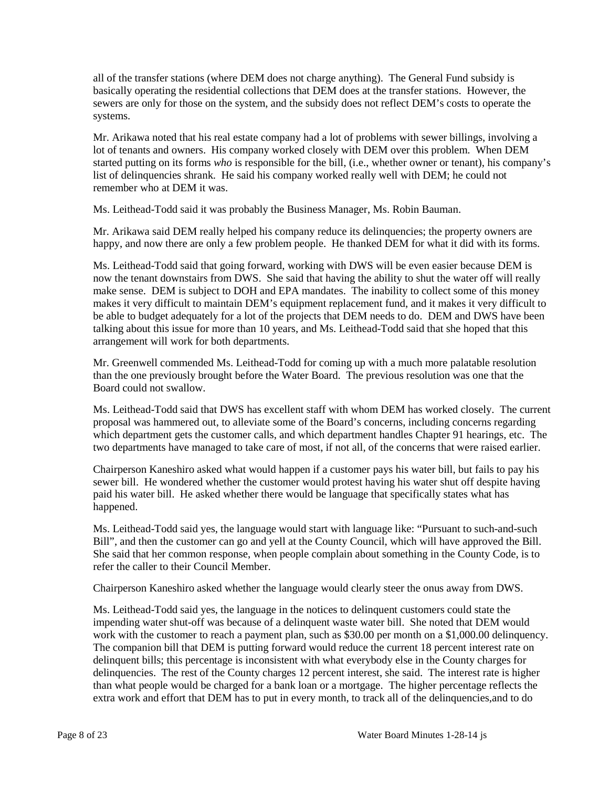all of the transfer stations (where DEM does not charge anything). The General Fund subsidy is basically operating the residential collections that DEM does at the transfer stations. However, the sewers are only for those on the system, and the subsidy does not reflect DEM's costs to operate the systems.

Mr. Arikawa noted that his real estate company had a lot of problems with sewer billings, involving a lot of tenants and owners. His company worked closely with DEM over this problem. When DEM started putting on its forms *who* is responsible for the bill, (i.e., whether owner or tenant), his company's list of delinquencies shrank. He said his company worked really well with DEM; he could not remember who at DEM it was.

Ms. Leithead-Todd said it was probably the Business Manager, Ms. Robin Bauman.

Mr. Arikawa said DEM really helped his company reduce its delinquencies; the property owners are happy, and now there are only a few problem people. He thanked DEM for what it did with its forms.

Ms. Leithead-Todd said that going forward, working with DWS will be even easier because DEM is now the tenant downstairs from DWS. She said that having the ability to shut the water off will really make sense. DEM is subject to DOH and EPA mandates. The inability to collect some of this money makes it very difficult to maintain DEM's equipment replacement fund, and it makes it very difficult to be able to budget adequately for a lot of the projects that DEM needs to do. DEM and DWS have been talking about this issue for more than 10 years, and Ms. Leithead-Todd said that she hoped that this arrangement will work for both departments.

Mr. Greenwell commended Ms. Leithead-Todd for coming up with a much more palatable resolution than the one previously brought before the Water Board. The previous resolution was one that the Board could not swallow.

Ms. Leithead-Todd said that DWS has excellent staff with whom DEM has worked closely. The current proposal was hammered out, to alleviate some of the Board's concerns, including concerns regarding which department gets the customer calls, and which department handles Chapter 91 hearings, etc. The two departments have managed to take care of most, if not all, of the concerns that were raised earlier.

Chairperson Kaneshiro asked what would happen if a customer pays his water bill, but fails to pay his sewer bill. He wondered whether the customer would protest having his water shut off despite having paid his water bill. He asked whether there would be language that specifically states what has happened.

Ms. Leithead-Todd said yes, the language would start with language like: "Pursuant to such-and-such Bill", and then the customer can go and yell at the County Council, which will have approved the Bill. She said that her common response, when people complain about something in the County Code, is to refer the caller to their Council Member.

Chairperson Kaneshiro asked whether the language would clearly steer the onus away from DWS.

Ms. Leithead-Todd said yes, the language in the notices to delinquent customers could state the impending water shut-off was because of a delinquent waste water bill. She noted that DEM would work with the customer to reach a payment plan, such as \$30.00 per month on a \$1,000.00 delinquency. The companion bill that DEM is putting forward would reduce the current 18 percent interest rate on delinquent bills; this percentage is inconsistent with what everybody else in the County charges for delinquencies. The rest of the County charges 12 percent interest, she said. The interest rate is higher than what people would be charged for a bank loan or a mortgage. The higher percentage reflects the extra work and effort that DEM has to put in every month, to track all of the delinquencies,and to do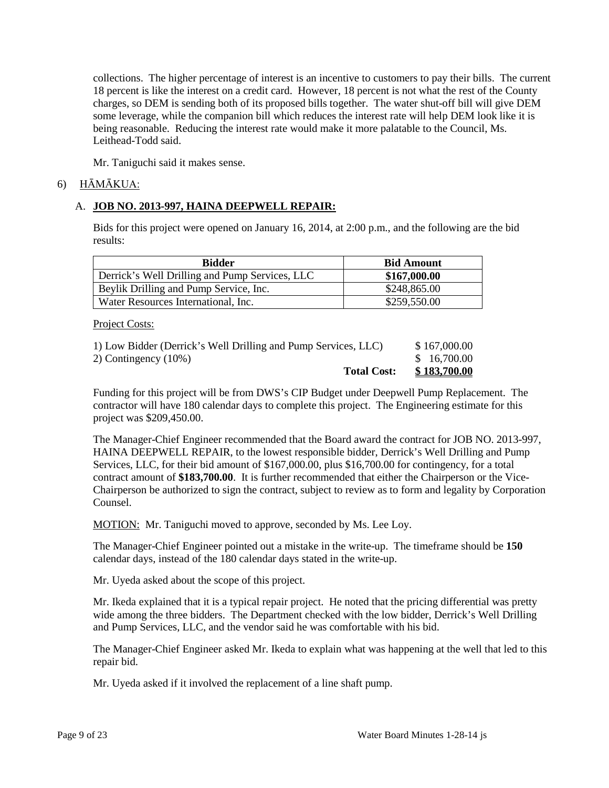collections. The higher percentage of interest is an incentive to customers to pay their bills. The current 18 percent is like the interest on a credit card. However, 18 percent is not what the rest of the County charges, so DEM is sending both of its proposed bills together. The water shut-off bill will give DEM some leverage, while the companion bill which reduces the interest rate will help DEM look like it is being reasonable. Reducing the interest rate would make it more palatable to the Council, Ms. Leithead-Todd said.

Mr. Taniguchi said it makes sense.

# 6) HĀMĀKUA:

# A. **JOB NO. 2013-997, HAINA DEEPWELL REPAIR:**

Bids for this project were opened on January 16, 2014, at 2:00 p.m., and the following are the bid results:

| <b>Bidder</b>                                  | <b>Bid Amount</b> |  |  |
|------------------------------------------------|-------------------|--|--|
| Derrick's Well Drilling and Pump Services, LLC | \$167,000.00      |  |  |
| Beylik Drilling and Pump Service, Inc.         | \$248,865.00      |  |  |
| Water Resources International, Inc.            | \$259,550.00      |  |  |

Project Costs:

| <b>Total Cost:</b>                                             | \$183,700.00 |
|----------------------------------------------------------------|--------------|
| 2) Contingency $(10\%)$                                        | \$16,700.00  |
| 1) Low Bidder (Derrick's Well Drilling and Pump Services, LLC) | \$167,000.00 |

Funding for this project will be from DWS's CIP Budget under Deepwell Pump Replacement. The contractor will have 180 calendar days to complete this project. The Engineering estimate for this project was \$209,450.00.

The Manager-Chief Engineer recommended that the Board award the contract for JOB NO. 2013-997, HAINA DEEPWELL REPAIR, to the lowest responsible bidder, Derrick's Well Drilling and Pump Services, LLC, for their bid amount of \$167,000.00, plus \$16,700.00 for contingency, for a total contract amount of **\$183,700.00**. It is further recommended that either the Chairperson or the Vice-Chairperson be authorized to sign the contract, subject to review as to form and legality by Corporation Counsel.

MOTION: Mr. Taniguchi moved to approve, seconded by Ms. Lee Loy.

The Manager-Chief Engineer pointed out a mistake in the write-up. The timeframe should be **150**  calendar days, instead of the 180 calendar days stated in the write-up.

Mr. Uyeda asked about the scope of this project.

Mr. Ikeda explained that it is a typical repair project. He noted that the pricing differential was pretty wide among the three bidders. The Department checked with the low bidder, Derrick's Well Drilling and Pump Services, LLC, and the vendor said he was comfortable with his bid.

The Manager-Chief Engineer asked Mr. Ikeda to explain what was happening at the well that led to this repair bid.

Mr. Uyeda asked if it involved the replacement of a line shaft pump.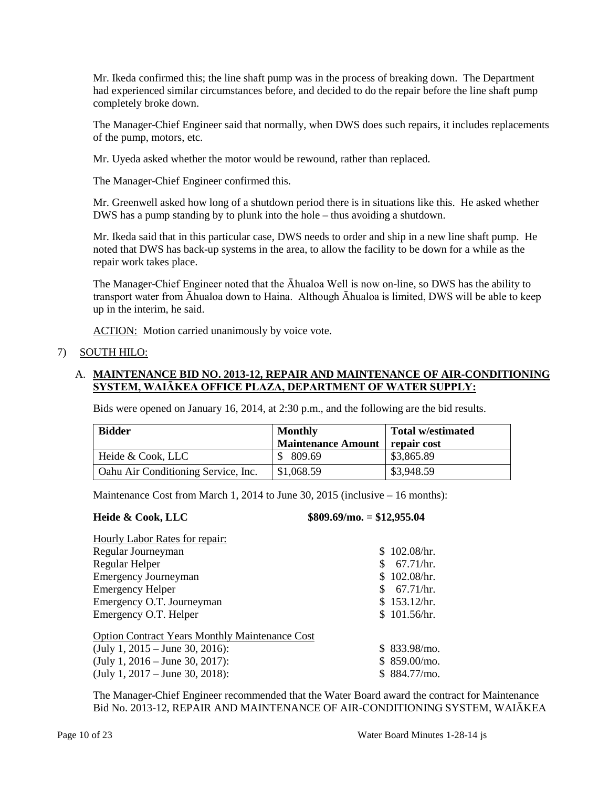Mr. Ikeda confirmed this; the line shaft pump was in the process of breaking down. The Department had experienced similar circumstances before, and decided to do the repair before the line shaft pump completely broke down.

The Manager-Chief Engineer said that normally, when DWS does such repairs, it includes replacements of the pump, motors, etc.

Mr. Uyeda asked whether the motor would be rewound, rather than replaced.

The Manager-Chief Engineer confirmed this.

Mr. Greenwell asked how long of a shutdown period there is in situations like this. He asked whether DWS has a pump standing by to plunk into the hole – thus avoiding a shutdown.

Mr. Ikeda said that in this particular case, DWS needs to order and ship in a new line shaft pump. He noted that DWS has back-up systems in the area, to allow the facility to be down for a while as the repair work takes place.

The Manager-Chief Engineer noted that the Āhualoa Well is now on-line, so DWS has the ability to transport water from Āhualoa down to Haina. Although Āhualoa is limited, DWS will be able to keep up in the interim, he said.

ACTION: Motion carried unanimously by voice vote.

# 7) SOUTH HILO:

# A. **MAINTENANCE BID NO. 2013-12, REPAIR AND MAINTENANCE OF AIR-CONDITIONING SYSTEM, WAIĀKEA OFFICE PLAZA, DEPARTMENT OF WATER SUPPLY:**

Bids were opened on January 16, 2014, at 2:30 p.m., and the following are the bid results.

| <b>Bidder</b>                       | <b>Monthly</b>            | <b>Total w/estimated</b> |  |
|-------------------------------------|---------------------------|--------------------------|--|
|                                     | <b>Maintenance Amount</b> | repair cost              |  |
| Heide & Cook, LLC                   | \$809.69                  | \$3,865.89               |  |
| Oahu Air Conditioning Service, Inc. | \$1,068.59                | \$3,948.59               |  |

Maintenance Cost from March 1, 2014 to June 30, 2015 (inclusive – 16 months):

### **Heide & Cook, LLC \$809.69/mo.** = **\$12,955.04**

| <b>Hourly Labor Rates for repair:</b>                 |               |
|-------------------------------------------------------|---------------|
| Regular Journeyman                                    | \$102.08/hr.  |
| Regular Helper                                        | 67.71/hr.     |
| <b>Emergency Journeyman</b>                           | \$102.08/hr.  |
| <b>Emergency Helper</b>                               | \$67.71/hr.   |
| Emergency O.T. Journeyman                             | \$153.12/hr.  |
| Emergency O.T. Helper                                 | \$101.56/hr.  |
| <b>Option Contract Years Monthly Maintenance Cost</b> |               |
| (July 1, 2015 – June 30, 2016):                       | \$833.98/mol. |
| (July 1, 2016 – June 30, 2017):                       | \$859.00/m0.  |
| (July 1, 2017 – June 30, 2018):                       | \$84.77/mo.   |

The Manager-Chief Engineer recommended that the Water Board award the contract for Maintenance Bid No. 2013-12, REPAIR AND MAINTENANCE OF AIR-CONDITIONING SYSTEM, WAIĀKEA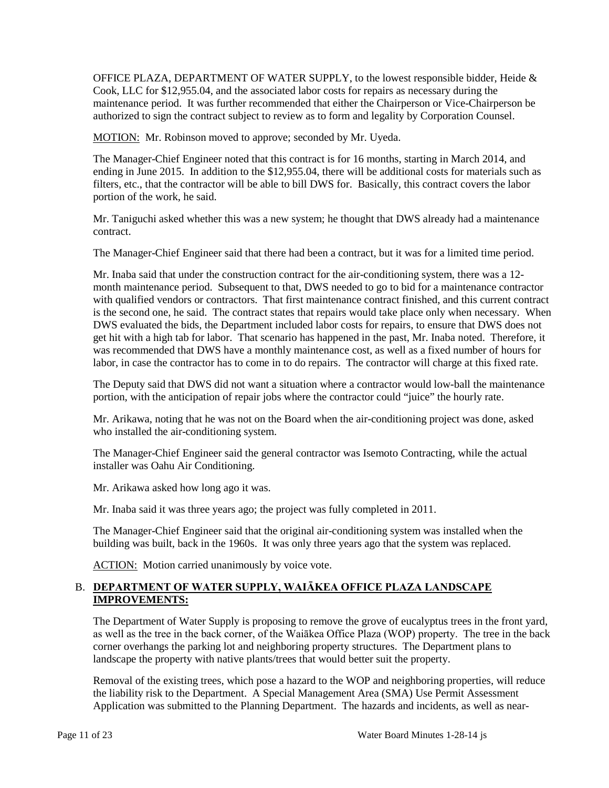OFFICE PLAZA, DEPARTMENT OF WATER SUPPLY, to the lowest responsible bidder, Heide & Cook, LLC for \$12,955.04, and the associated labor costs for repairs as necessary during the maintenance period. It was further recommended that either the Chairperson or Vice-Chairperson be authorized to sign the contract subject to review as to form and legality by Corporation Counsel.

MOTION: Mr. Robinson moved to approve; seconded by Mr. Uyeda.

The Manager-Chief Engineer noted that this contract is for 16 months, starting in March 2014, and ending in June 2015. In addition to the \$12,955.04, there will be additional costs for materials such as filters, etc., that the contractor will be able to bill DWS for. Basically, this contract covers the labor portion of the work, he said.

Mr. Taniguchi asked whether this was a new system; he thought that DWS already had a maintenance contract.

The Manager-Chief Engineer said that there had been a contract, but it was for a limited time period.

Mr. Inaba said that under the construction contract for the air-conditioning system, there was a 12 month maintenance period. Subsequent to that, DWS needed to go to bid for a maintenance contractor with qualified vendors or contractors. That first maintenance contract finished, and this current contract is the second one, he said. The contract states that repairs would take place only when necessary. When DWS evaluated the bids, the Department included labor costs for repairs, to ensure that DWS does not get hit with a high tab for labor. That scenario has happened in the past, Mr. Inaba noted. Therefore, it was recommended that DWS have a monthly maintenance cost, as well as a fixed number of hours for labor, in case the contractor has to come in to do repairs. The contractor will charge at this fixed rate.

The Deputy said that DWS did not want a situation where a contractor would low-ball the maintenance portion, with the anticipation of repair jobs where the contractor could "juice" the hourly rate.

Mr. Arikawa, noting that he was not on the Board when the air-conditioning project was done, asked who installed the air-conditioning system.

The Manager-Chief Engineer said the general contractor was Isemoto Contracting, while the actual installer was Oahu Air Conditioning.

Mr. Arikawa asked how long ago it was.

Mr. Inaba said it was three years ago; the project was fully completed in 2011.

The Manager-Chief Engineer said that the original air-conditioning system was installed when the building was built, back in the 1960s. It was only three years ago that the system was replaced.

ACTION: Motion carried unanimously by voice vote.

## B. **DEPARTMENT OF WATER SUPPLY, WAIĀKEA OFFICE PLAZA LANDSCAPE IMPROVEMENTS:**

The Department of Water Supply is proposing to remove the grove of eucalyptus trees in the front yard, as well as the tree in the back corner, of the Waiākea Office Plaza (WOP) property. The tree in the back corner overhangs the parking lot and neighboring property structures. The Department plans to landscape the property with native plants/trees that would better suit the property.

Removal of the existing trees, which pose a hazard to the WOP and neighboring properties, will reduce the liability risk to the Department. A Special Management Area (SMA) Use Permit Assessment Application was submitted to the Planning Department. The hazards and incidents, as well as near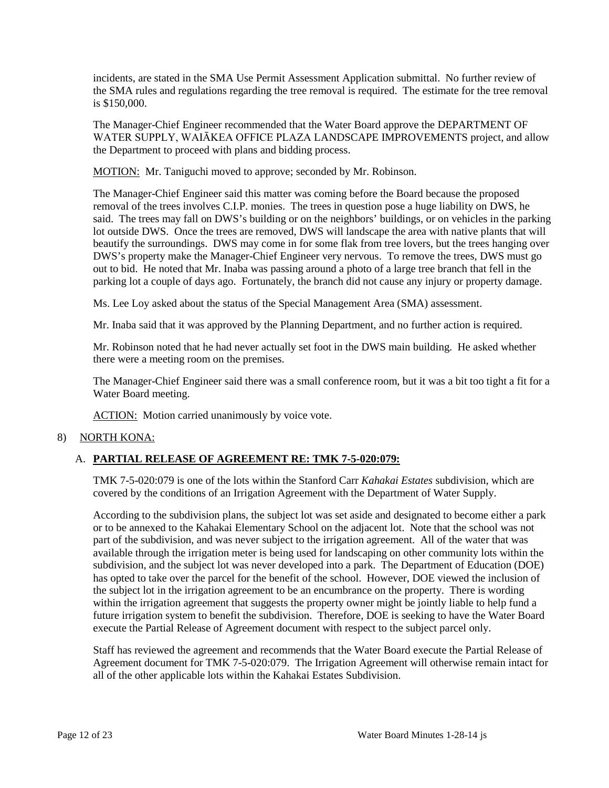incidents, are stated in the SMA Use Permit Assessment Application submittal. No further review of the SMA rules and regulations regarding the tree removal is required. The estimate for the tree removal is \$150,000.

The Manager-Chief Engineer recommended that the Water Board approve the DEPARTMENT OF WATER SUPPLY, WAIĀKEA OFFICE PLAZA LANDSCAPE IMPROVEMENTS project, and allow the Department to proceed with plans and bidding process.

MOTION: Mr. Taniguchi moved to approve; seconded by Mr. Robinson.

The Manager-Chief Engineer said this matter was coming before the Board because the proposed removal of the trees involves C.I.P. monies. The trees in question pose a huge liability on DWS, he said. The trees may fall on DWS's building or on the neighbors' buildings, or on vehicles in the parking lot outside DWS. Once the trees are removed, DWS will landscape the area with native plants that will beautify the surroundings. DWS may come in for some flak from tree lovers, but the trees hanging over DWS's property make the Manager-Chief Engineer very nervous. To remove the trees, DWS must go out to bid. He noted that Mr. Inaba was passing around a photo of a large tree branch that fell in the parking lot a couple of days ago. Fortunately, the branch did not cause any injury or property damage.

Ms. Lee Loy asked about the status of the Special Management Area (SMA) assessment.

Mr. Inaba said that it was approved by the Planning Department, and no further action is required.

Mr. Robinson noted that he had never actually set foot in the DWS main building. He asked whether there were a meeting room on the premises.

The Manager-Chief Engineer said there was a small conference room, but it was a bit too tight a fit for a Water Board meeting.

ACTION: Motion carried unanimously by voice vote.

# 8) NORTH KONA:

# A. **PARTIAL RELEASE OF AGREEMENT RE: TMK 7-5-020:079:**

TMK 7-5-020:079 is one of the lots within the Stanford Carr *Kahakai Estates* subdivision, which are covered by the conditions of an Irrigation Agreement with the Department of Water Supply.

According to the subdivision plans, the subject lot was set aside and designated to become either a park or to be annexed to the Kahakai Elementary School on the adjacent lot. Note that the school was not part of the subdivision, and was never subject to the irrigation agreement. All of the water that was available through the irrigation meter is being used for landscaping on other community lots within the subdivision, and the subject lot was never developed into a park. The Department of Education (DOE) has opted to take over the parcel for the benefit of the school. However, DOE viewed the inclusion of the subject lot in the irrigation agreement to be an encumbrance on the property. There is wording within the irrigation agreement that suggests the property owner might be jointly liable to help fund a future irrigation system to benefit the subdivision. Therefore, DOE is seeking to have the Water Board execute the Partial Release of Agreement document with respect to the subject parcel only.

Staff has reviewed the agreement and recommends that the Water Board execute the Partial Release of Agreement document for TMK 7-5-020:079. The Irrigation Agreement will otherwise remain intact for all of the other applicable lots within the Kahakai Estates Subdivision.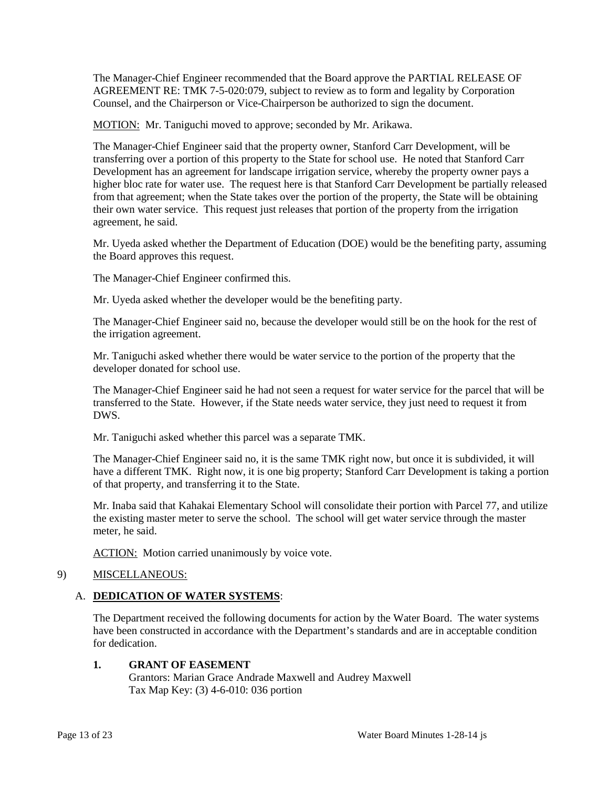The Manager-Chief Engineer recommended that the Board approve the PARTIAL RELEASE OF AGREEMENT RE: TMK 7-5-020:079, subject to review as to form and legality by Corporation Counsel, and the Chairperson or Vice-Chairperson be authorized to sign the document.

MOTION: Mr. Taniguchi moved to approve; seconded by Mr. Arikawa.

The Manager-Chief Engineer said that the property owner, Stanford Carr Development, will be transferring over a portion of this property to the State for school use. He noted that Stanford Carr Development has an agreement for landscape irrigation service, whereby the property owner pays a higher bloc rate for water use. The request here is that Stanford Carr Development be partially released from that agreement; when the State takes over the portion of the property, the State will be obtaining their own water service. This request just releases that portion of the property from the irrigation agreement, he said.

Mr. Uyeda asked whether the Department of Education (DOE) would be the benefiting party, assuming the Board approves this request.

The Manager-Chief Engineer confirmed this.

Mr. Uyeda asked whether the developer would be the benefiting party.

The Manager-Chief Engineer said no, because the developer would still be on the hook for the rest of the irrigation agreement.

Mr. Taniguchi asked whether there would be water service to the portion of the property that the developer donated for school use.

The Manager-Chief Engineer said he had not seen a request for water service for the parcel that will be transferred to the State. However, if the State needs water service, they just need to request it from DWS.

Mr. Taniguchi asked whether this parcel was a separate TMK.

The Manager-Chief Engineer said no, it is the same TMK right now, but once it is subdivided, it will have a different TMK. Right now, it is one big property; Stanford Carr Development is taking a portion of that property, and transferring it to the State.

Mr. Inaba said that Kahakai Elementary School will consolidate their portion with Parcel 77, and utilize the existing master meter to serve the school. The school will get water service through the master meter, he said.

ACTION: Motion carried unanimously by voice vote.

# 9) MISCELLANEOUS:

# A. **DEDICATION OF WATER SYSTEMS**:

The Department received the following documents for action by the Water Board. The water systems have been constructed in accordance with the Department's standards and are in acceptable condition for dedication.

# **1. GRANT OF EASEMENT**

Grantors: Marian Grace Andrade Maxwell and Audrey Maxwell Tax Map Key: (3) 4-6-010: 036 portion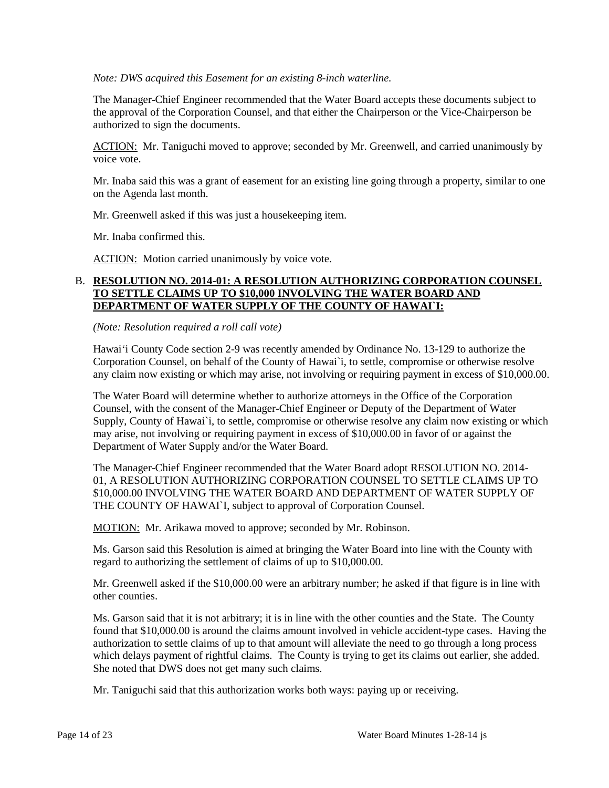*Note: DWS acquired this Easement for an existing 8-inch waterline.*

The Manager-Chief Engineer recommended that the Water Board accepts these documents subject to the approval of the Corporation Counsel, and that either the Chairperson or the Vice-Chairperson be authorized to sign the documents.

ACTION: Mr. Taniguchi moved to approve; seconded by Mr. Greenwell, and carried unanimously by voice vote.

Mr. Inaba said this was a grant of easement for an existing line going through a property, similar to one on the Agenda last month.

Mr. Greenwell asked if this was just a housekeeping item.

Mr. Inaba confirmed this.

ACTION: Motion carried unanimously by voice vote.

## B. **RESOLUTION NO. 2014-01: A RESOLUTION AUTHORIZING CORPORATION COUNSEL TO SETTLE CLAIMS UP TO \$10,000 INVOLVING THE WATER BOARD AND DEPARTMENT OF WATER SUPPLY OF THE COUNTY OF HAWAI`I:**

*(Note: Resolution required a roll call vote)*

Hawai'i County Code section 2-9 was recently amended by Ordinance No. 13-129 to authorize the Corporation Counsel, on behalf of the County of Hawai`i, to settle, compromise or otherwise resolve any claim now existing or which may arise, not involving or requiring payment in excess of \$10,000.00.

The Water Board will determine whether to authorize attorneys in the Office of the Corporation Counsel, with the consent of the Manager-Chief Engineer or Deputy of the Department of Water Supply, County of Hawai`i, to settle, compromise or otherwise resolve any claim now existing or which may arise, not involving or requiring payment in excess of \$10,000.00 in favor of or against the Department of Water Supply and/or the Water Board.

The Manager-Chief Engineer recommended that the Water Board adopt RESOLUTION NO. 2014- 01, A RESOLUTION AUTHORIZING CORPORATION COUNSEL TO SETTLE CLAIMS UP TO \$10,000.00 INVOLVING THE WATER BOARD AND DEPARTMENT OF WATER SUPPLY OF THE COUNTY OF HAWAIL, subject to approval of Corporation Counsel.

MOTION: Mr. Arikawa moved to approve; seconded by Mr. Robinson.

Ms. Garson said this Resolution is aimed at bringing the Water Board into line with the County with regard to authorizing the settlement of claims of up to \$10,000.00.

Mr. Greenwell asked if the \$10,000.00 were an arbitrary number; he asked if that figure is in line with other counties.

Ms. Garson said that it is not arbitrary; it is in line with the other counties and the State. The County found that \$10,000.00 is around the claims amount involved in vehicle accident-type cases. Having the authorization to settle claims of up to that amount will alleviate the need to go through a long process which delays payment of rightful claims. The County is trying to get its claims out earlier, she added. She noted that DWS does not get many such claims.

Mr. Taniguchi said that this authorization works both ways: paying up or receiving.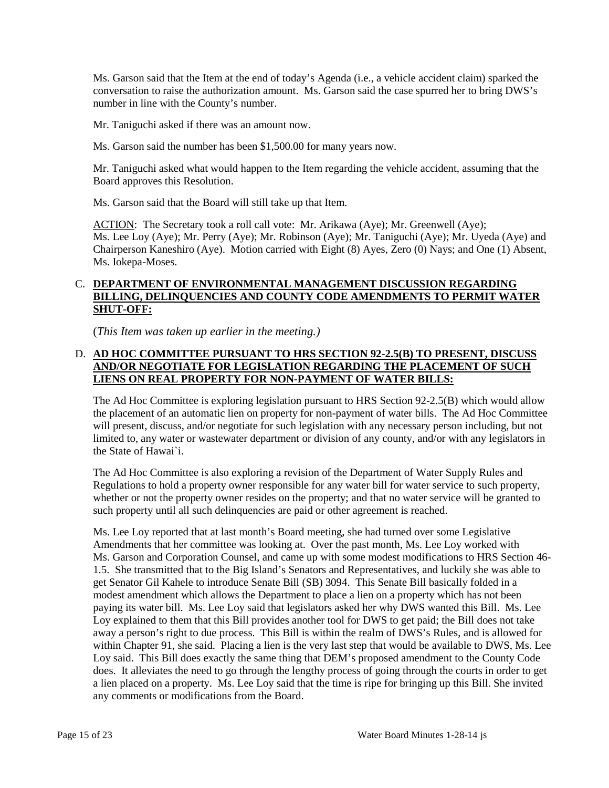Ms. Garson said that the Item at the end of today's Agenda (i.e., a vehicle accident claim) sparked the conversation to raise the authorization amount. Ms. Garson said the case spurred her to bring DWS's number in line with the County's number.

Mr. Taniguchi asked if there was an amount now.

Ms. Garson said the number has been \$1,500.00 for many years now.

Mr. Taniguchi asked what would happen to the Item regarding the vehicle accident, assuming that the Board approves this Resolution.

Ms. Garson said that the Board will still take up that Item.

ACTION: The Secretary took a roll call vote: Mr. Arikawa (Aye); Mr. Greenwell (Aye); Ms. Lee Loy (Aye); Mr. Perry (Aye); Mr. Robinson (Aye); Mr. Taniguchi (Aye); Mr. Uyeda (Aye) and Chairperson Kaneshiro (Aye). Motion carried with Eight (8) Ayes, Zero (0) Nays; and One (1) Absent, Ms. Iokepa-Moses.

## C. **DEPARTMENT OF ENVIRONMENTAL MANAGEMENT DISCUSSION REGARDING BILLING, DELINQUENCIES AND COUNTY CODE AMENDMENTS TO PERMIT WATER SHUT-OFF:**

(*This Item was taken up earlier in the meeting.)*

# D. **AD HOC COMMITTEE PURSUANT TO HRS SECTION 92-2.5(B) TO PRESENT, DISCUSS AND/OR NEGOTIATE FOR LEGISLATION REGARDING THE PLACEMENT OF SUCH LIENS ON REAL PROPERTY FOR NON-PAYMENT OF WATER BILLS:**

The Ad Hoc Committee is exploring legislation pursuant to HRS Section 92-2.5(B) which would allow the placement of an automatic lien on property for non-payment of water bills. The Ad Hoc Committee will present, discuss, and/or negotiate for such legislation with any necessary person including, but not limited to, any water or wastewater department or division of any county, and/or with any legislators in the State of Hawai`i.

The Ad Hoc Committee is also exploring a revision of the Department of Water Supply Rules and Regulations to hold a property owner responsible for any water bill for water service to such property, whether or not the property owner resides on the property; and that no water service will be granted to such property until all such delinquencies are paid or other agreement is reached.

Ms. Lee Loy reported that at last month's Board meeting, she had turned over some Legislative Amendments that her committee was looking at. Over the past month, Ms. Lee Loy worked with Ms. Garson and Corporation Counsel, and came up with some modest modifications to HRS Section 46- 1.5. She transmitted that to the Big Island's Senators and Representatives, and luckily she was able to get Senator Gil Kahele to introduce Senate Bill (SB) 3094. This Senate Bill basically folded in a modest amendment which allows the Department to place a lien on a property which has not been paying its water bill. Ms. Lee Loy said that legislators asked her why DWS wanted this Bill. Ms. Lee Loy explained to them that this Bill provides another tool for DWS to get paid; the Bill does not take away a person's right to due process. This Bill is within the realm of DWS's Rules, and is allowed for within Chapter 91, she said. Placing a lien is the very last step that would be available to DWS, Ms. Lee Loy said. This Bill does exactly the same thing that DEM's proposed amendment to the County Code does. It alleviates the need to go through the lengthy process of going through the courts in order to get a lien placed on a property. Ms. Lee Loy said that the time is ripe for bringing up this Bill. She invited any comments or modifications from the Board.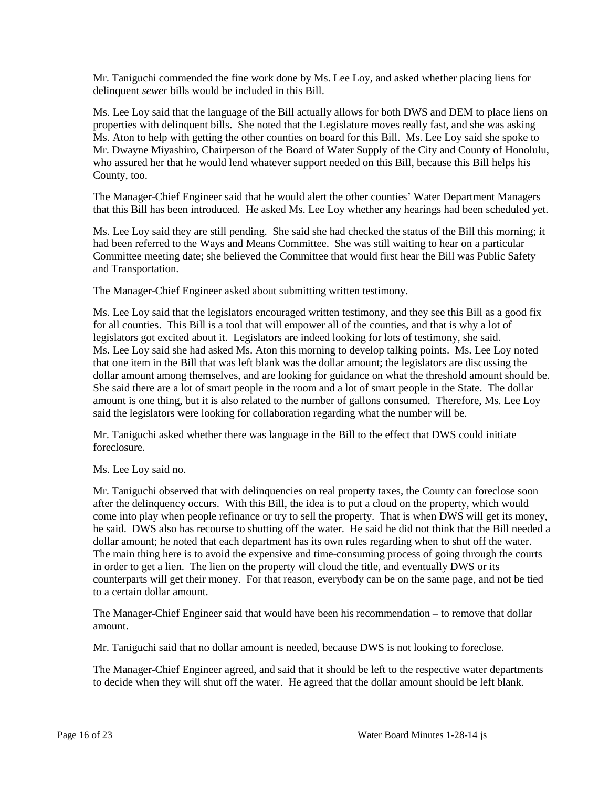Mr. Taniguchi commended the fine work done by Ms. Lee Loy, and asked whether placing liens for delinquent *sewer* bills would be included in this Bill.

Ms. Lee Loy said that the language of the Bill actually allows for both DWS and DEM to place liens on properties with delinquent bills. She noted that the Legislature moves really fast, and she was asking Ms. Aton to help with getting the other counties on board for this Bill. Ms. Lee Loy said she spoke to Mr. Dwayne Miyashiro, Chairperson of the Board of Water Supply of the City and County of Honolulu, who assured her that he would lend whatever support needed on this Bill, because this Bill helps his County, too.

The Manager-Chief Engineer said that he would alert the other counties' Water Department Managers that this Bill has been introduced. He asked Ms. Lee Loy whether any hearings had been scheduled yet.

Ms. Lee Loy said they are still pending. She said she had checked the status of the Bill this morning; it had been referred to the Ways and Means Committee. She was still waiting to hear on a particular Committee meeting date; she believed the Committee that would first hear the Bill was Public Safety and Transportation.

The Manager-Chief Engineer asked about submitting written testimony.

Ms. Lee Loy said that the legislators encouraged written testimony, and they see this Bill as a good fix for all counties. This Bill is a tool that will empower all of the counties, and that is why a lot of legislators got excited about it. Legislators are indeed looking for lots of testimony, she said. Ms. Lee Loy said she had asked Ms. Aton this morning to develop talking points. Ms. Lee Loy noted that one item in the Bill that was left blank was the dollar amount; the legislators are discussing the dollar amount among themselves, and are looking for guidance on what the threshold amount should be. She said there are a lot of smart people in the room and a lot of smart people in the State. The dollar amount is one thing, but it is also related to the number of gallons consumed. Therefore, Ms. Lee Loy said the legislators were looking for collaboration regarding what the number will be.

Mr. Taniguchi asked whether there was language in the Bill to the effect that DWS could initiate foreclosure.

Ms. Lee Loy said no.

Mr. Taniguchi observed that with delinquencies on real property taxes, the County can foreclose soon after the delinquency occurs. With this Bill, the idea is to put a cloud on the property, which would come into play when people refinance or try to sell the property. That is when DWS will get its money, he said. DWS also has recourse to shutting off the water. He said he did not think that the Bill needed a dollar amount; he noted that each department has its own rules regarding when to shut off the water. The main thing here is to avoid the expensive and time-consuming process of going through the courts in order to get a lien. The lien on the property will cloud the title, and eventually DWS or its counterparts will get their money. For that reason, everybody can be on the same page, and not be tied to a certain dollar amount.

The Manager-Chief Engineer said that would have been his recommendation – to remove that dollar amount.

Mr. Taniguchi said that no dollar amount is needed, because DWS is not looking to foreclose.

The Manager-Chief Engineer agreed, and said that it should be left to the respective water departments to decide when they will shut off the water. He agreed that the dollar amount should be left blank.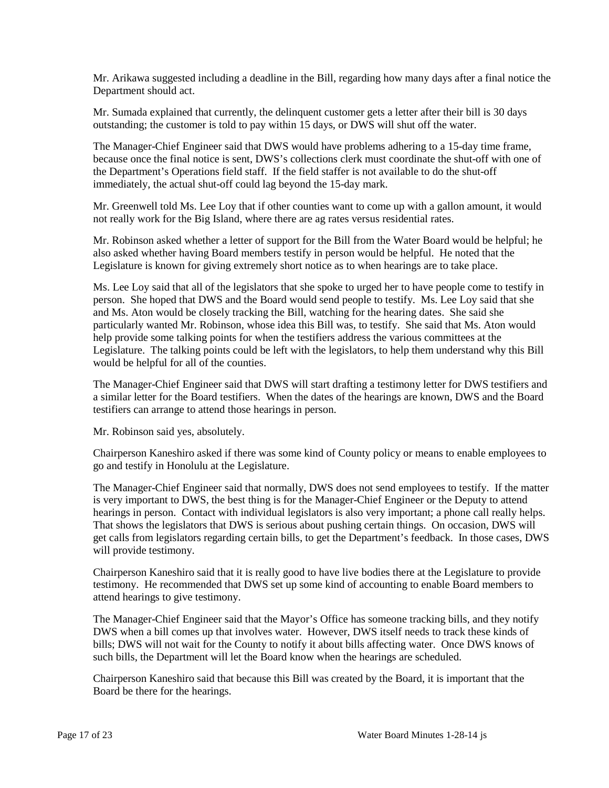Mr. Arikawa suggested including a deadline in the Bill, regarding how many days after a final notice the Department should act.

Mr. Sumada explained that currently, the delinquent customer gets a letter after their bill is 30 days outstanding; the customer is told to pay within 15 days, or DWS will shut off the water.

The Manager-Chief Engineer said that DWS would have problems adhering to a 15-day time frame, because once the final notice is sent, DWS's collections clerk must coordinate the shut-off with one of the Department's Operations field staff. If the field staffer is not available to do the shut-off immediately, the actual shut-off could lag beyond the 15-day mark.

Mr. Greenwell told Ms. Lee Loy that if other counties want to come up with a gallon amount, it would not really work for the Big Island, where there are ag rates versus residential rates.

Mr. Robinson asked whether a letter of support for the Bill from the Water Board would be helpful; he also asked whether having Board members testify in person would be helpful. He noted that the Legislature is known for giving extremely short notice as to when hearings are to take place.

Ms. Lee Loy said that all of the legislators that she spoke to urged her to have people come to testify in person. She hoped that DWS and the Board would send people to testify. Ms. Lee Loy said that she and Ms. Aton would be closely tracking the Bill, watching for the hearing dates. She said she particularly wanted Mr. Robinson, whose idea this Bill was, to testify. She said that Ms. Aton would help provide some talking points for when the testifiers address the various committees at the Legislature. The talking points could be left with the legislators, to help them understand why this Bill would be helpful for all of the counties.

The Manager-Chief Engineer said that DWS will start drafting a testimony letter for DWS testifiers and a similar letter for the Board testifiers. When the dates of the hearings are known, DWS and the Board testifiers can arrange to attend those hearings in person.

Mr. Robinson said yes, absolutely.

Chairperson Kaneshiro asked if there was some kind of County policy or means to enable employees to go and testify in Honolulu at the Legislature.

The Manager-Chief Engineer said that normally, DWS does not send employees to testify. If the matter is very important to DWS, the best thing is for the Manager-Chief Engineer or the Deputy to attend hearings in person. Contact with individual legislators is also very important; a phone call really helps. That shows the legislators that DWS is serious about pushing certain things. On occasion, DWS will get calls from legislators regarding certain bills, to get the Department's feedback. In those cases, DWS will provide testimony.

Chairperson Kaneshiro said that it is really good to have live bodies there at the Legislature to provide testimony. He recommended that DWS set up some kind of accounting to enable Board members to attend hearings to give testimony.

The Manager-Chief Engineer said that the Mayor's Office has someone tracking bills, and they notify DWS when a bill comes up that involves water. However, DWS itself needs to track these kinds of bills; DWS will not wait for the County to notify it about bills affecting water. Once DWS knows of such bills, the Department will let the Board know when the hearings are scheduled.

Chairperson Kaneshiro said that because this Bill was created by the Board, it is important that the Board be there for the hearings.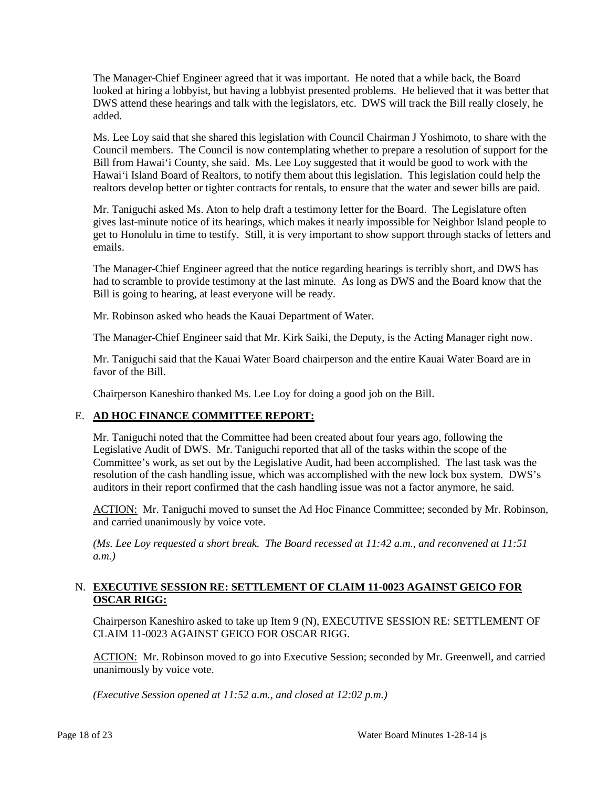The Manager-Chief Engineer agreed that it was important. He noted that a while back, the Board looked at hiring a lobbyist, but having a lobbyist presented problems. He believed that it was better that DWS attend these hearings and talk with the legislators, etc. DWS will track the Bill really closely, he added.

Ms. Lee Loy said that she shared this legislation with Council Chairman J Yoshimoto, to share with the Council members. The Council is now contemplating whether to prepare a resolution of support for the Bill from Hawai'i County, she said. Ms. Lee Loy suggested that it would be good to work with the Hawai'i Island Board of Realtors, to notify them about this legislation. This legislation could help the realtors develop better or tighter contracts for rentals, to ensure that the water and sewer bills are paid.

Mr. Taniguchi asked Ms. Aton to help draft a testimony letter for the Board. The Legislature often gives last-minute notice of its hearings, which makes it nearly impossible for Neighbor Island people to get to Honolulu in time to testify. Still, it is very important to show support through stacks of letters and emails.

The Manager-Chief Engineer agreed that the notice regarding hearings is terribly short, and DWS has had to scramble to provide testimony at the last minute. As long as DWS and the Board know that the Bill is going to hearing, at least everyone will be ready.

Mr. Robinson asked who heads the Kauai Department of Water.

The Manager-Chief Engineer said that Mr. Kirk Saiki, the Deputy, is the Acting Manager right now.

Mr. Taniguchi said that the Kauai Water Board chairperson and the entire Kauai Water Board are in favor of the Bill.

Chairperson Kaneshiro thanked Ms. Lee Loy for doing a good job on the Bill.

### E. **AD HOC FINANCE COMMITTEE REPORT:**

Mr. Taniguchi noted that the Committee had been created about four years ago, following the Legislative Audit of DWS. Mr. Taniguchi reported that all of the tasks within the scope of the Committee's work, as set out by the Legislative Audit, had been accomplished. The last task was the resolution of the cash handling issue, which was accomplished with the new lock box system. DWS's auditors in their report confirmed that the cash handling issue was not a factor anymore, he said.

ACTION: Mr. Taniguchi moved to sunset the Ad Hoc Finance Committee; seconded by Mr. Robinson, and carried unanimously by voice vote.

*(Ms. Lee Loy requested a short break. The Board recessed at 11:42 a.m., and reconvened at 11:51 a.m.)*

### N. **EXECUTIVE SESSION RE: SETTLEMENT OF CLAIM 11-0023 AGAINST GEICO FOR OSCAR RIGG:**

Chairperson Kaneshiro asked to take up Item 9 (N), EXECUTIVE SESSION RE: SETTLEMENT OF CLAIM 11-0023 AGAINST GEICO FOR OSCAR RIGG.

ACTION: Mr. Robinson moved to go into Executive Session; seconded by Mr. Greenwell, and carried unanimously by voice vote.

*(Executive Session opened at 11:52 a.m., and closed at 12:02 p.m.)*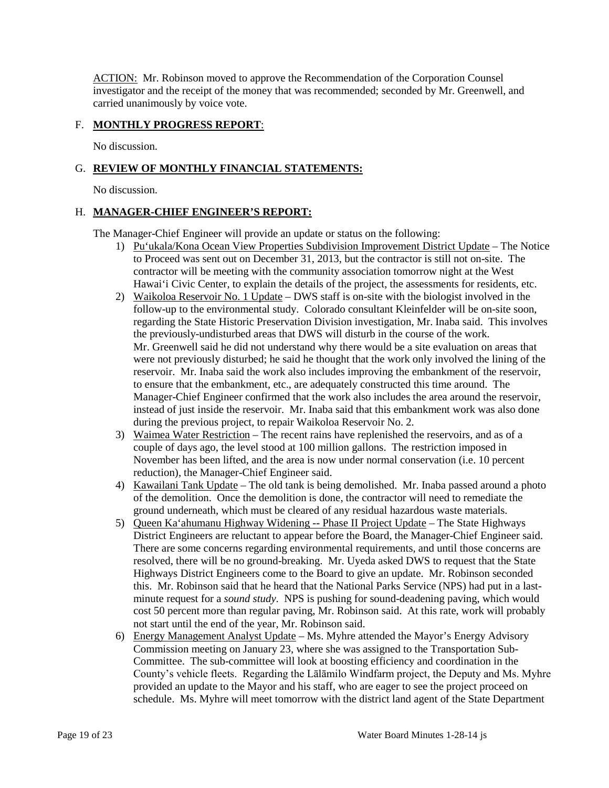ACTION: Mr. Robinson moved to approve the Recommendation of the Corporation Counsel investigator and the receipt of the money that was recommended; seconded by Mr. Greenwell, and carried unanimously by voice vote.

## F. **MONTHLY PROGRESS REPORT**:

No discussion.

# G. **REVIEW OF MONTHLY FINANCIAL STATEMENTS:**

No discussion.

### H. **MANAGER-CHIEF ENGINEER'S REPORT:**

The Manager-Chief Engineer will provide an update or status on the following:

- 1) Pu'ukala/Kona Ocean View Properties Subdivision Improvement District Update The Notice to Proceed was sent out on December 31, 2013, but the contractor is still not on-site. The contractor will be meeting with the community association tomorrow night at the West Hawai'i Civic Center, to explain the details of the project, the assessments for residents, etc.
- 2) Waikoloa Reservoir No. 1 Update DWS staff is on-site with the biologist involved in the follow-up to the environmental study. Colorado consultant Kleinfelder will be on-site soon, regarding the State Historic Preservation Division investigation, Mr. Inaba said. This involves the previously-undisturbed areas that DWS will disturb in the course of the work. Mr. Greenwell said he did not understand why there would be a site evaluation on areas that were not previously disturbed; he said he thought that the work only involved the lining of the reservoir. Mr. Inaba said the work also includes improving the embankment of the reservoir, to ensure that the embankment, etc., are adequately constructed this time around. The Manager-Chief Engineer confirmed that the work also includes the area around the reservoir, instead of just inside the reservoir. Mr. Inaba said that this embankment work was also done during the previous project, to repair Waikoloa Reservoir No. 2.
- 3) Waimea Water Restriction The recent rains have replenished the reservoirs, and as of a couple of days ago, the level stood at 100 million gallons. The restriction imposed in November has been lifted, and the area is now under normal conservation (i.e. 10 percent reduction), the Manager-Chief Engineer said.
- 4) Kawailani Tank Update The old tank is being demolished. Mr. Inaba passed around a photo of the demolition. Once the demolition is done, the contractor will need to remediate the ground underneath, which must be cleared of any residual hazardous waste materials.
- 5) Queen Ka'ahumanu Highway Widening -- Phase II Project Update The State Highways District Engineers are reluctant to appear before the Board, the Manager-Chief Engineer said. There are some concerns regarding environmental requirements, and until those concerns are resolved, there will be no ground-breaking. Mr. Uyeda asked DWS to request that the State Highways District Engineers come to the Board to give an update. Mr. Robinson seconded this. Mr. Robinson said that he heard that the National Parks Service (NPS) had put in a lastminute request for a *sound study*. NPS is pushing for sound-deadening paving, which would cost 50 percent more than regular paving, Mr. Robinson said. At this rate, work will probably not start until the end of the year, Mr. Robinson said.
- 6) Energy Management Analyst Update Ms. Myhre attended the Mayor's Energy Advisory Commission meeting on January 23, where she was assigned to the Transportation Sub-Committee. The sub-committee will look at boosting efficiency and coordination in the County's vehicle fleets. Regarding the Lālāmilo Windfarm project, the Deputy and Ms. Myhre provided an update to the Mayor and his staff, who are eager to see the project proceed on schedule. Ms. Myhre will meet tomorrow with the district land agent of the State Department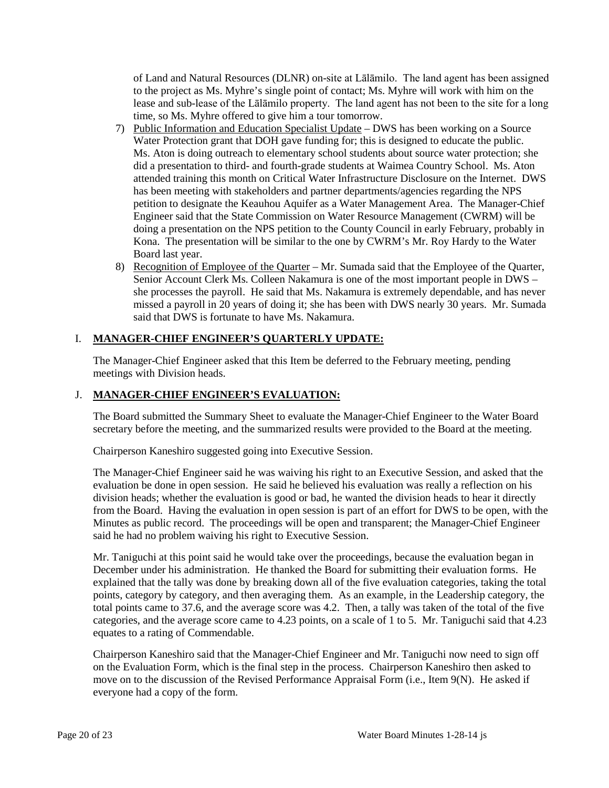of Land and Natural Resources (DLNR) on-site at Lālāmilo. The land agent has been assigned to the project as Ms. Myhre's single point of contact; Ms. Myhre will work with him on the lease and sub-lease of the Lālāmilo property. The land agent has not been to the site for a long time, so Ms. Myhre offered to give him a tour tomorrow.

- 7) Public Information and Education Specialist Update DWS has been working on a Source Water Protection grant that DOH gave funding for; this is designed to educate the public. Ms. Aton is doing outreach to elementary school students about source water protection; she did a presentation to third- and fourth-grade students at Waimea Country School. Ms. Aton attended training this month on Critical Water Infrastructure Disclosure on the Internet. DWS has been meeting with stakeholders and partner departments/agencies regarding the NPS petition to designate the Keauhou Aquifer as a Water Management Area. The Manager-Chief Engineer said that the State Commission on Water Resource Management (CWRM) will be doing a presentation on the NPS petition to the County Council in early February, probably in Kona. The presentation will be similar to the one by CWRM's Mr. Roy Hardy to the Water Board last year.
- 8) Recognition of Employee of the Quarter Mr. Sumada said that the Employee of the Quarter, Senior Account Clerk Ms. Colleen Nakamura is one of the most important people in DWS – she processes the payroll. He said that Ms. Nakamura is extremely dependable, and has never missed a payroll in 20 years of doing it; she has been with DWS nearly 30 years. Mr. Sumada said that DWS is fortunate to have Ms. Nakamura.

# I. **MANAGER-CHIEF ENGINEER'S QUARTERLY UPDATE:**

The Manager-Chief Engineer asked that this Item be deferred to the February meeting, pending meetings with Division heads.

# J. **MANAGER-CHIEF ENGINEER'S EVALUATION:**

The Board submitted the Summary Sheet to evaluate the Manager-Chief Engineer to the Water Board secretary before the meeting, and the summarized results were provided to the Board at the meeting.

Chairperson Kaneshiro suggested going into Executive Session.

The Manager-Chief Engineer said he was waiving his right to an Executive Session, and asked that the evaluation be done in open session. He said he believed his evaluation was really a reflection on his division heads; whether the evaluation is good or bad, he wanted the division heads to hear it directly from the Board. Having the evaluation in open session is part of an effort for DWS to be open, with the Minutes as public record. The proceedings will be open and transparent; the Manager-Chief Engineer said he had no problem waiving his right to Executive Session.

Mr. Taniguchi at this point said he would take over the proceedings, because the evaluation began in December under his administration. He thanked the Board for submitting their evaluation forms. He explained that the tally was done by breaking down all of the five evaluation categories, taking the total points, category by category, and then averaging them. As an example, in the Leadership category, the total points came to 37.6, and the average score was 4.2. Then, a tally was taken of the total of the five categories, and the average score came to 4.23 points, on a scale of 1 to 5. Mr. Taniguchi said that 4.23 equates to a rating of Commendable.

Chairperson Kaneshiro said that the Manager-Chief Engineer and Mr. Taniguchi now need to sign off on the Evaluation Form, which is the final step in the process. Chairperson Kaneshiro then asked to move on to the discussion of the Revised Performance Appraisal Form (i.e., Item 9(N). He asked if everyone had a copy of the form.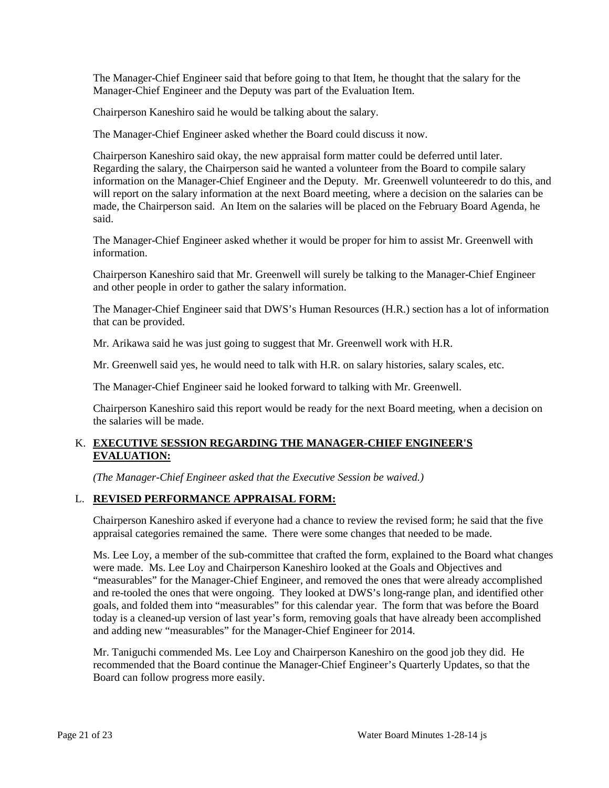The Manager-Chief Engineer said that before going to that Item, he thought that the salary for the Manager-Chief Engineer and the Deputy was part of the Evaluation Item.

Chairperson Kaneshiro said he would be talking about the salary.

The Manager-Chief Engineer asked whether the Board could discuss it now.

Chairperson Kaneshiro said okay, the new appraisal form matter could be deferred until later. Regarding the salary, the Chairperson said he wanted a volunteer from the Board to compile salary information on the Manager-Chief Engineer and the Deputy. Mr. Greenwell volunteeredr to do this, and will report on the salary information at the next Board meeting, where a decision on the salaries can be made, the Chairperson said. An Item on the salaries will be placed on the February Board Agenda, he said.

The Manager-Chief Engineer asked whether it would be proper for him to assist Mr. Greenwell with information.

Chairperson Kaneshiro said that Mr. Greenwell will surely be talking to the Manager-Chief Engineer and other people in order to gather the salary information.

The Manager-Chief Engineer said that DWS's Human Resources (H.R.) section has a lot of information that can be provided.

Mr. Arikawa said he was just going to suggest that Mr. Greenwell work with H.R.

Mr. Greenwell said yes, he would need to talk with H.R. on salary histories, salary scales, etc.

The Manager-Chief Engineer said he looked forward to talking with Mr. Greenwell.

Chairperson Kaneshiro said this report would be ready for the next Board meeting, when a decision on the salaries will be made.

# K. **EXECUTIVE SESSION REGARDING THE MANAGER-CHIEF ENGINEER'S EVALUATION:**

*(The Manager-Chief Engineer asked that the Executive Session be waived.)*

# L. **REVISED PERFORMANCE APPRAISAL FORM:**

Chairperson Kaneshiro asked if everyone had a chance to review the revised form; he said that the five appraisal categories remained the same. There were some changes that needed to be made.

Ms. Lee Loy, a member of the sub-committee that crafted the form, explained to the Board what changes were made. Ms. Lee Loy and Chairperson Kaneshiro looked at the Goals and Objectives and "measurables" for the Manager-Chief Engineer, and removed the ones that were already accomplished and re-tooled the ones that were ongoing. They looked at DWS's long-range plan, and identified other goals, and folded them into "measurables" for this calendar year. The form that was before the Board today is a cleaned-up version of last year's form, removing goals that have already been accomplished and adding new "measurables" for the Manager-Chief Engineer for 2014.

Mr. Taniguchi commended Ms. Lee Loy and Chairperson Kaneshiro on the good job they did. He recommended that the Board continue the Manager-Chief Engineer's Quarterly Updates, so that the Board can follow progress more easily.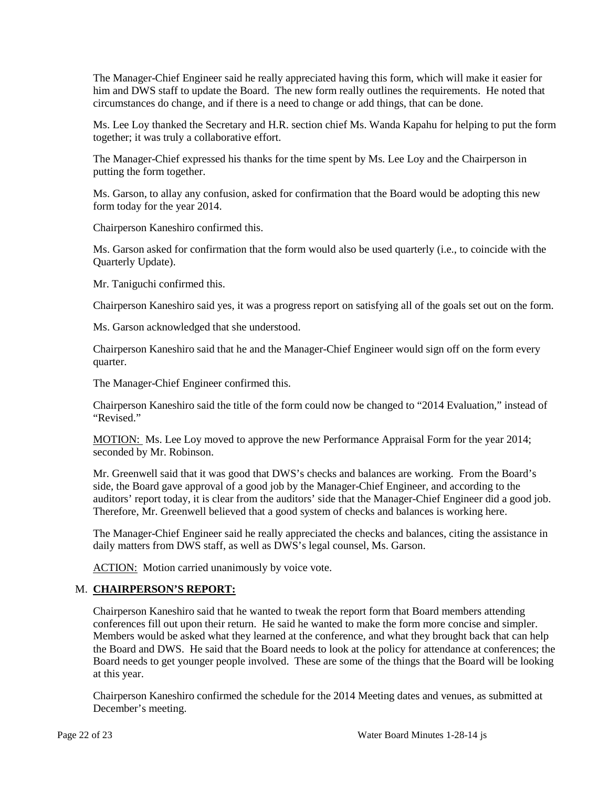The Manager-Chief Engineer said he really appreciated having this form, which will make it easier for him and DWS staff to update the Board. The new form really outlines the requirements. He noted that circumstances do change, and if there is a need to change or add things, that can be done.

Ms. Lee Loy thanked the Secretary and H.R. section chief Ms. Wanda Kapahu for helping to put the form together; it was truly a collaborative effort.

The Manager-Chief expressed his thanks for the time spent by Ms. Lee Loy and the Chairperson in putting the form together.

Ms. Garson, to allay any confusion, asked for confirmation that the Board would be adopting this new form today for the year 2014.

Chairperson Kaneshiro confirmed this.

Ms. Garson asked for confirmation that the form would also be used quarterly (i.e., to coincide with the Quarterly Update).

Mr. Taniguchi confirmed this.

Chairperson Kaneshiro said yes, it was a progress report on satisfying all of the goals set out on the form.

Ms. Garson acknowledged that she understood.

Chairperson Kaneshiro said that he and the Manager-Chief Engineer would sign off on the form every quarter.

The Manager-Chief Engineer confirmed this.

Chairperson Kaneshiro said the title of the form could now be changed to "2014 Evaluation," instead of "Revised."

MOTION: Ms. Lee Loy moved to approve the new Performance Appraisal Form for the year 2014; seconded by Mr. Robinson.

Mr. Greenwell said that it was good that DWS's checks and balances are working. From the Board's side, the Board gave approval of a good job by the Manager-Chief Engineer, and according to the auditors' report today, it is clear from the auditors' side that the Manager-Chief Engineer did a good job. Therefore, Mr. Greenwell believed that a good system of checks and balances is working here.

The Manager-Chief Engineer said he really appreciated the checks and balances, citing the assistance in daily matters from DWS staff, as well as DWS's legal counsel, Ms. Garson.

ACTION: Motion carried unanimously by voice vote.

### M. **CHAIRPERSON'S REPORT:**

Chairperson Kaneshiro said that he wanted to tweak the report form that Board members attending conferences fill out upon their return. He said he wanted to make the form more concise and simpler. Members would be asked what they learned at the conference, and what they brought back that can help the Board and DWS. He said that the Board needs to look at the policy for attendance at conferences; the Board needs to get younger people involved. These are some of the things that the Board will be looking at this year.

Chairperson Kaneshiro confirmed the schedule for the 2014 Meeting dates and venues, as submitted at December's meeting.